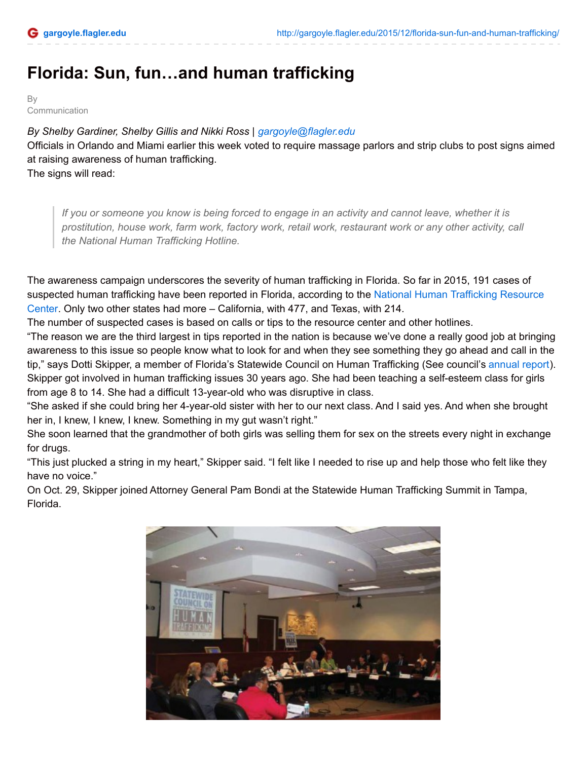## **Florida: Sun, fun…and human trafficking**

**B** Communication

*By Shelby Gardiner, Shelby Gillis and Nikki Ross | [gargoyle@flagler.edu](mailto:gargoyle@flagler.edu)* Officials in Orlando and Miami earlier this week voted to require massage parlors and strip clubs to post signs aimed at raising awareness of human trafficking. The signs will read:

If you or someone you know is being forced to engage in an activity and cannot leave, whether it is *prostitution, house work, farm work, factory work, retail work, restaurant work or any other activity, call the National Human Trafficking Hotline.*

The awareness campaign underscores the severity of human trafficking in Florida. So far in 2015, 191 cases of [suspected](https://www.traffickingresourcecenter.org/states) human trafficking have been reported in Florida, according to the National Human Trafficking Resource Center. Only two other states had more – California, with 477, and Texas, with 214.

The number of suspected cases is based on calls or tips to the resource center and other hotlines.

"The reason we are the third largest in tips reported in the nation is because we've done a really good job at bringing awareness to this issue so people know what to look for and when they see something they go ahead and call in the tip," says Dotti Skipper, a member of Florida's Statewide Council on Human Trafficking (See council's [annual](https://drive.google.com/file/d/0B6Mo1c2bIFLWWlhUVGxTWGl2RTA/view?usp=sharing) report). Skipper got involved in human trafficking issues 30 years ago. She had been teaching a self-esteem class for girls from age 8 to 14. She had a difficult 13-year-old who was disruptive in class.

"She asked if she could bring her 4-year-old sister with her to our next class. And I said yes. And when she brought her in, I knew, I knew, I knew. Something in my gut wasn't right."

She soon learned that the grandmother of both girls was selling them for sex on the streets every night in exchange for drugs.

"This just plucked a string in my heart," Skipper said. "I felt like I needed to rise up and help those who felt like they have no voice."

On Oct. 29, Skipper joined Attorney General Pam Bondi at the Statewide Human Trafficking Summit in Tampa, Florida.

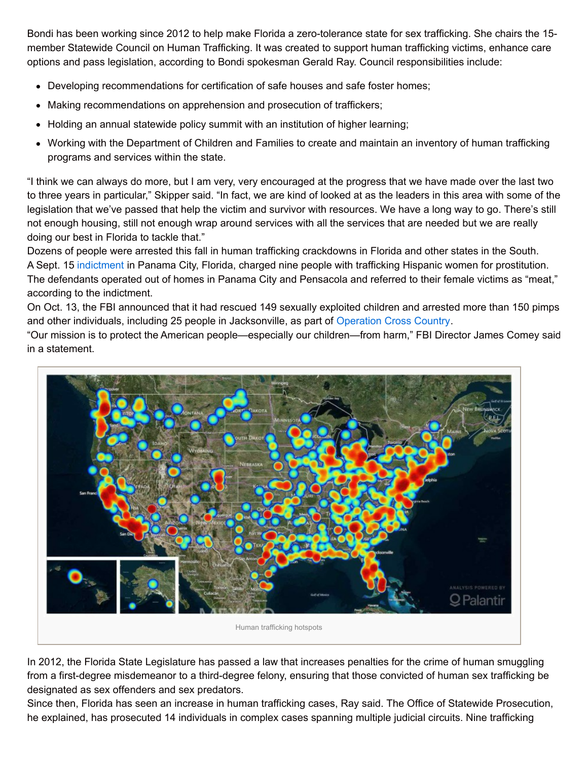Bondi has been working since 2012 to help make Florida a zero-tolerance state for sex trafficking. She chairs the 15 member Statewide Council on Human Trafficking. It was created to support human trafficking victims, enhance care options and pass legislation, according to Bondi spokesman Gerald Ray. Council responsibilities include:

- Developing recommendations for certification of safe houses and safe foster homes;
- Making recommendations on apprehension and prosecution of traffickers;
- Holding an annual statewide policy summit with an institution of higher learning;
- Working with the Department of Children and Families to create and maintain an inventory of human trafficking programs and services within the state.

"I think we can always do more, but I am very, very encouraged at the progress that we have made over the last two to three years in particular," Skipper said. "In fact, we are kind of looked at as the leaders in this area with some of the legislation that we've passed that help the victim and survivor with resources. We have a long way to go. There's still not enough housing, still not enough wrap around services with all the services that are needed but we are really doing our best in Florida to tackle that."

Dozens of people were arrested this fall in human trafficking crackdowns in Florida and other states in the South. A Sept. 15 [indictment](https://drive.google.com/file/d/0B6Mo1c2bIFLWbVFQYUpQaDVEejg/view?usp=sharing) in Panama City, Florida, charged nine people with trafficking Hispanic women for prostitution. The defendants operated out of homes in Panama City and Pensacola and referred to their female victims as "meat," according to the indictment.

On Oct. 13, the FBI announced that it had rescued 149 sexually exploited children and arrested more than 150 pimps and other individuals, including 25 people in Jacksonville, as part of [Operation](https://www.fbi.gov/news/stories/2015/october/operation-cross-country) Cross Country.

"Our mission is to protect the American people—especially our children—from harm," FBI Director James Comey said in a statement.



In 2012, the Florida State Legislature has passed a law that increases penalties for the crime of human smuggling from a first-degree misdemeanor to a third-degree felony, ensuring that those convicted of human sex trafficking be designated as sex offenders and sex predators.

Since then, Florida has seen an increase in human trafficking cases, Ray said. The Office of Statewide Prosecution, he explained, has prosecuted 14 individuals in complex cases spanning multiple judicial circuits. Nine trafficking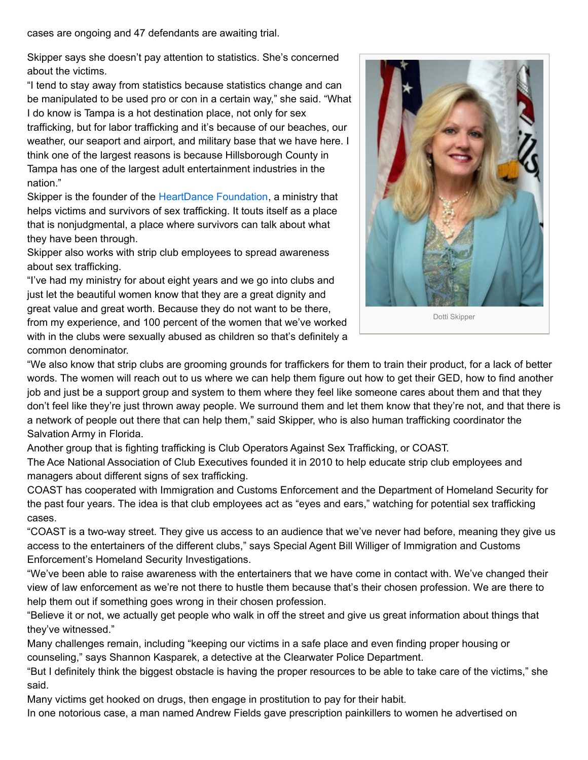cases are ongoing and 47 defendants are awaiting trial.

Skipper says she doesn't pay attention to statistics. She's concerned about the victims.

"I tend to stay away from statistics because statistics change and can be manipulated to be used pro or con in a certain way," she said. "What I do know is Tampa is a hot destination place, not only for sex trafficking, but for labor trafficking and it's because of our beaches, our weather, our seaport and airport, and military base that we have here. I think one of the largest reasons is because Hillsborough County in Tampa has one of the largest adult entertainment industries in the nation."

Skipper is the founder of the [HeartDance](http://www.heartdancefoundation.org/) Foundation, a ministry that helps victims and survivors of sex trafficking. It touts itself as a place that is nonjudgmental, a place where survivors can talk about what they have been through.

Skipper also works with strip club employees to spread awareness about sex trafficking.

"I've had my ministry for about eight years and we go into clubs and just let the beautiful women know that they are a great dignity and great value and great worth. Because they do not want to be there, from my experience, and 100 percent of the women that we've worked with in the clubs were sexually abused as children so that's definitely a common denominator.

![](_page_2_Picture_6.jpeg)

Dotti [Skipper](http://gargoyle.flagler.edu/wp-content/uploads/2015/12/dotti.jpg)

"We also know that strip clubs are grooming grounds for traffickers for them to train their product, for a lack of better words. The women will reach out to us where we can help them figure out how to get their GED, how to find another job and just be a support group and system to them where they feel like someone cares about them and that they don't feel like they're just thrown away people. We surround them and let them know that they're not, and that there is a network of people out there that can help them," said Skipper, who is also human trafficking coordinator the Salvation Army in Florida.

Another group that is fighting trafficking is Club Operators Against Sex Trafficking, or COAST.

The Ace National Association of Club Executives founded it in 2010 to help educate strip club employees and managers about different signs of sex trafficking.

COAST has cooperated with Immigration and Customs Enforcement and the Department of Homeland Security for the past four years. The idea is that club employees act as "eyes and ears," watching for potential sex trafficking cases.

"COAST is a two-way street. They give us access to an audience that we've never had before, meaning they give us access to the entertainers of the different clubs," says Special Agent Bill Williger of Immigration and Customs Enforcement's Homeland Security Investigations.

"We've been able to raise awareness with the entertainers that we have come in contact with. We've changed their view of law enforcement as we're not there to hustle them because that's their chosen profession. We are there to help them out if something goes wrong in their chosen profession.

"Believe it or not, we actually get people who walk in off the street and give us great information about things that they've witnessed."

Many challenges remain, including "keeping our victims in a safe place and even finding proper housing or counseling," says Shannon Kasparek, a detective at the Clearwater Police Department.

"But I definitely think the biggest obstacle is having the proper resources to be able to take care of the victims," she said.

Many victims get hooked on drugs, then engage in prostitution to pay for their habit.

In one notorious case, a man named Andrew Fields gave prescription painkillers to women he advertised on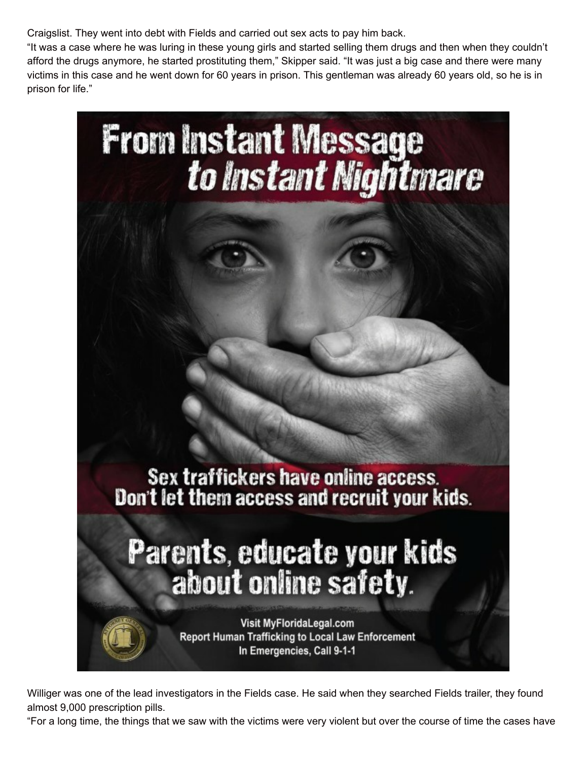Craigslist. They went into debt with Fields and carried out sex acts to pay him back.

"It was a case where he was luring in these young girls and started selling them drugs and then when they couldn't afford the drugs anymore, he started prostituting them," Skipper said. "It was just a big case and there were many victims in this case and he went down for 60 years in prison. This gentleman was already 60 years old, so he is in prison for life."

![](_page_3_Picture_2.jpeg)

Williger was one of the lead investigators in the Fields case. He said when they searched Fields trailer, they found almost 9,000 prescription pills.

"For a long time, the things that we saw with the victims were very violent but over the course of time the cases have